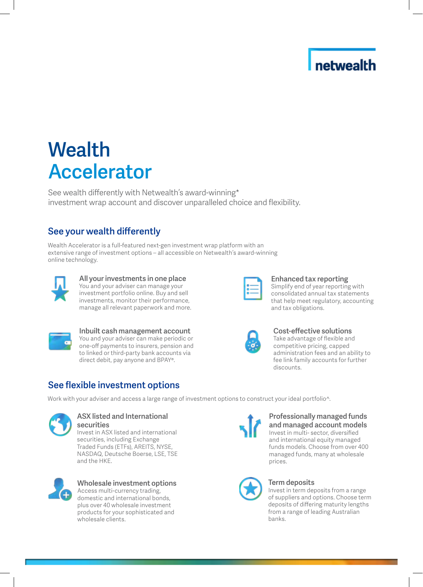## netwealth

# **Wealth** Accelerator

See wealth differently with Netwealth's award-winning\* investment wrap account and discover unparalleled choice and flexibility.

### See your wealth differently

Wealth Accelerator is a full-featured next-gen investment wrap platform with an extensive range of investment options – all accessible on Netwealth's award-winning online technology.



All your investments in one place You and your adviser can manage your investment portfolio online. Buy and sell investments, monitor their performance, manage all relevant paperwork and more.



Inbuilt cash management account You and your adviser can make periodic or one-off payments to insurers, pension and to linked or third-party bank accounts via direct debit, pay anyone and BPAY®.

### See flexible investment options

Work with your adviser and access a large range of investment options to construct your ideal portfolio^.



#### ASX listed and International securities

Invest in ASX listed and international securities, including Exchange Traded Funds (ETFs), AREITS, NYSE, NASDAQ, Deutsche Boerse, LSE, TSE and the HKE.



Wholesale investment options Access multi-currency trading, domestic and international bonds, plus over 40 wholesale investment products for your sophisticated and wholesale clients.



#### Enhanced tax reporting

Simplify end of year reporting with consolidated annual tax statements that help meet regulatory, accounting and tax obligations.

#### Cost-effective solutions

Take advantage of flexible and competitive pricing, capped administration fees and an ability to fee link family accounts for further discounts.



#### Professionally managed funds and managed account models Invest in multi- sector, diversified and international equity managed funds models. Choose from over 400 managed funds, many at wholesale prices.



#### Term deposits

Invest in term deposits from a range of suppliers and options. Choose term deposits of differing maturity lengths from a range of leading Australian banks.